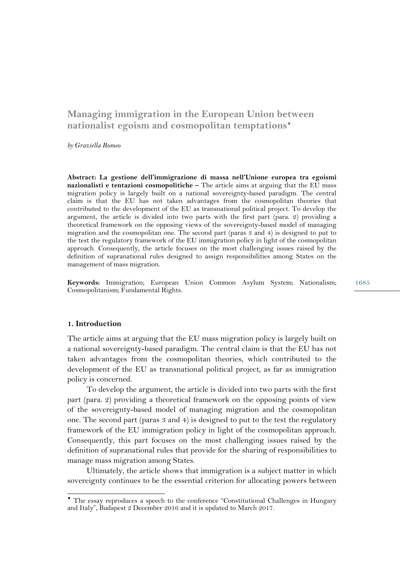# **Managing immigration in the European Union between nationalist egoism and cosmopolitan temptations**♦

*by Graziella Romeo* 

**Abstract: La gestione dell'immigrazione di massa nell'Unione europea tra egoismi nazionalisti e tentazioni cosmopolitiche –** The article aims at arguing that the EU mass migration policy is largely built on a national sovereignty-based paradigm. The central claim is that the EU has not taken advantages from the cosmopolitan theories that contributed to the development of the EU as transnational political project. To develop the argument, the article is divided into two parts with the first part (para. 2) providing a theoretical framework on the opposing views of the sovereignty-based model of managing migration and the cosmopolitan one. The second part (paras 3 and 4) is designed to put to the test the regulatory framework of the EU immigration policy in light of the cosmopolitan approach. Consequently, the article focuses on the most challenging issues raised by the definition of supranational rules designed to assign responsibilities among States on the management of mass migration.

1685 **Keywords:** Immigration; European Union Common Asylum System; Nationalism; Cosmopolitanism; Fundamental Rights.

#### **1. Introduction**

 $\overline{a}$ 

The article aims at arguing that the EU mass migration policy is largely built on a national sovereignty-based paradigm. The central claim is that the EU has not taken advantages from the cosmopolitan theories, which contributed to the development of the EU as transnational political project, as far as immigration policy is concerned.

To develop the argument, the article is divided into two parts with the first part (para. 2) providing a theoretical framework on the opposing points of view of the sovereignty-based model of managing migration and the cosmopolitan one. The second part (paras 3 and 4) is designed to put to the test the regulatory framework of the EU immigration policy in light of the cosmopolitan approach. Consequently, this part focuses on the most challenging issues raised by the definition of supranational rules that provide for the sharing of responsibilities to manage mass migration among States.

Ultimately, the article shows that immigration is a subject matter in which sovereignty continues to be the essential criterion for allocating powers between

<sup>♦</sup> The essay reproduces a speech to the conference "Constitutional Challenges in Hungary and Italy", Budapest 2 December 2016 and it is updated to March 2017.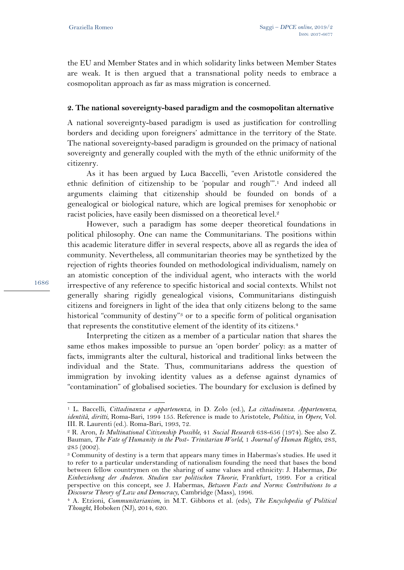the EU and Member States and in which solidarity links between Member States are weak. It is then argued that a transnational polity needs to embrace a cosmopolitan approach as far as mass migration is concerned.

### **2. The national sovereignty-based paradigm and the cosmopolitan alternative**

A national sovereignty-based paradigm is used as justification for controlling borders and deciding upon foreigners' admittance in the territory of the State. The national sovereignty-based paradigm is grounded on the primacy of national sovereignty and generally coupled with the myth of the ethnic uniformity of the citizenry.

As it has been argued by Luca Baccelli, "even Aristotle considered the ethnic definition of citizenship to be 'popular and rough'".1 And indeed all arguments claiming that citizenship should be founded on bonds of a genealogical or biological nature, which are logical premises for xenophobic or racist policies, have easily been dismissed on a theoretical level.<sup>2</sup>

However, such a paradigm has some deeper theoretical foundations in political philosophy. One can name the Communitarians. The positions within this academic literature differ in several respects, above all as regards the idea of community. Nevertheless, all communitarian theories may be synthetized by the rejection of rights theories founded on methodological individualism, namely on an atomistic conception of the individual agent, who interacts with the world irrespective of any reference to specific historical and social contexts. Whilst not generally sharing rigidly genealogical visions, Communitarians distinguish citizens and foreigners in light of the idea that only citizens belong to the same historical "community of destiny"<sup>3</sup> or to a specific form of political organisation that represents the constitutive element of the identity of its citizens.4

Interpreting the citizen as a member of a particular nation that shares the same ethos makes impossible to pursue an 'open border' policy: as a matter of facts, immigrants alter the cultural, historical and traditional links between the individual and the State. Thus, communitarians address the question of immigration by invoking identity values as a defense against dynamics of "contamination" of globalised societies. The boundary for exclusion is defined by

1686

<sup>1</sup> L. Baccelli, *Cittadinanza e appartenenza*, in D. Zolo (ed.), *La cittadinanza. Appartenenza, identità, diritti*, Roma-Bari, 1994 155. Reference is made to Aristotele, *Politica*, in *Opere*, Vol. III. R. Laurenti (ed.). Roma-Bari, 1993, 72.<br><sup>2</sup> R. Aron, *Is Multinational Citizenship Possible*, 41 *Social Research* 638-656 (1974). See also Z.

Bauman, *The Fate of Humanity in the Post- Trinitarian World*, 1 *Journal of Human Rights*, 283, 285 (2002).

<sup>3</sup> Community of destiny is a term that appears many times in Habermas's studies. He used it to refer to a particular understanding of nationalism founding the need that bases the bond between fellow countrymen on the sharing of same values and ethnicity: J. Habermas, *Die Einbeziehung der Anderen. Studien zur politischen Theorie*, Frankfurt, 1999. For a critical perspective on this concept, see J. Habermas, *Between Facts and Norms: Contributions to a Discourse Theory of Law and Democracy*, Cambridge (Mass), 1996. 4 A. Etzioni, *Communitarianism*, in M.T. Gibbons et al. (eds), *The Encyclopedia of Political* 

*Thought*, Hoboken (NJ), 2014, 620.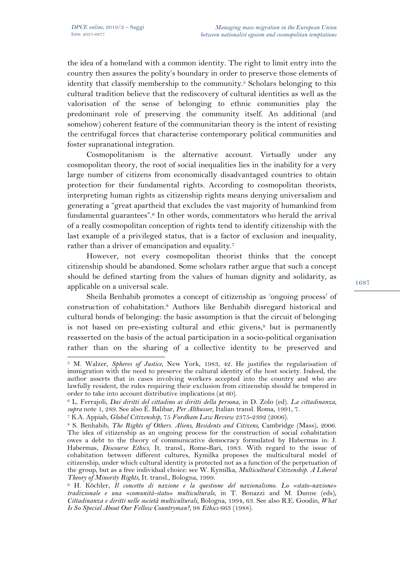$\overline{a}$ 

the idea of a homeland with a common identity. The right to limit entry into the country then assures the polity's boundary in order to preserve those elements of identity that classify membership to the community.5 Scholars belonging to this cultural tradition believe that the rediscovery of cultural identities as well as the valorisation of the sense of belonging to ethnic communities play the predominant role of preserving the community itself. An additional (and somehow) coherent feature of the communitarian theory is the intent of resisting the centrifugal forces that characterise contemporary political communities and foster supranational integration.

Cosmopolitanism is the alternative account. Virtually under any cosmopolitan theory, the root of social inequalities lies in the inability for a very large number of citizens from economically disadvantaged countries to obtain protection for their fundamental rights. According to cosmopolitan theorists, interpreting human rights as citizenship rights means denying universalism and generating a "great apartheid that excludes the vast majority of humankind from fundamental guarantees".6 In other words, commentators who herald the arrival of a really cosmopolitan conception of rights tend to identify citizenship with the last example of a privileged status, that is a factor of exclusion and inequality, rather than a driver of emancipation and equality.7

However, not every cosmopolitan theorist thinks that the concept citizenship should be abandoned. Some scholars rather argue that such a concept should be defined starting from the values of human dignity and solidarity, as applicable on a universal scale.

Sheila Benhabib promotes a concept of citizenship as 'ongoing process' of construction of cohabitation.8 Authors like Benhabib disregard historical and cultural bonds of belonging: the basic assumption is that the circuit of belonging is not based on pre-existing cultural and ethic givens,<sup>9</sup> but is permanently reasserted on the basis of the actual participation in a socio-political organisation rather than on the sharing of a collective identity to be preserved and

<sup>5</sup> M. Walzer, *Spheres of Justice*, New York, 1983, 42. He justifies the regularisation of immigration with the need to preserve the cultural identity of the host society. Indeed, the author asserts that in cases involving workers accepted into the country and who are lawfully resident, the rules requiring their exclusion from citizenship should be tempered in

order to take into account distributive implications (at 60).<br><sup>6</sup> L. Ferrajoli, *Dai diritti del cittadino ai diritti della persona*, in D. Zolo (ed). *La cittadinanza*, *supra* note 1, 289. See also É. Balibar, *Per Althu* 

<sup>&</sup>lt;sup>7</sup> K.A. Appiah, *Global Citizenship*, 75 Fordham Law Review 2375-2392 (2006).<br><sup>8</sup> S. Benhabib, *The Rights of Others. Aliens, Residents and Citizens*, Cambridge (Mass), 2006.

The idea of citizenship as an ongoing process for the construction of social cohabitation owes a debt to the theory of communicative democracy formulated by Habermas in: J. Habermas, *Discourse Ethics*, It. transl., Rome-Bari, 1983. With regard to the issue of cohabitation between different cultures, Kymilka proposes the multicultural model of citizenship, under which cultural identity is protected not as a function of the perpetuation of the group, but as a free individual choice: see W. Kymilka, *Multicultural Citizenship. A Liberal* 

*Theory of Minority Rights*, It. transl., Bologna, 1999. 9 H. Köchler, *Il concetto di nazione e la questione del nazionalismo. Lo «stato-nazione» tradizionale e una «comunità-stato» multiculturale*, in T. Bonazzi and M. Dunne (eds), *Cittadinanza e diritti nelle società multiculturali*, Bologna, 1994, 63. See also R.E. Goodin, *What Is So Special About Our Fellow Countryman?*, 98 *Ethics* 663 (1988).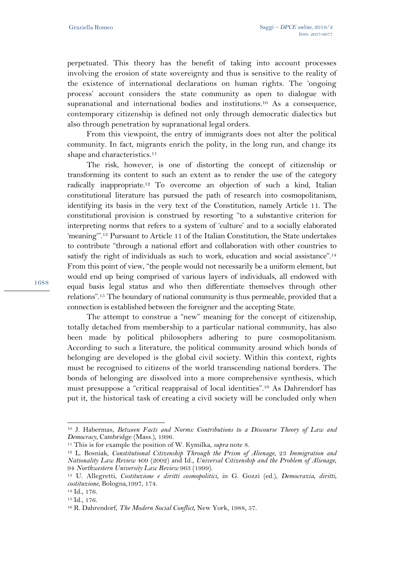perpetuated. This theory has the benefit of taking into account processes involving the erosion of state sovereignty and thus is sensitive to the reality of the existence of international declarations on human rights. The 'ongoing process' account considers the state community as open to dialogue with supranational and international bodies and institutions.10 As a consequence, contemporary citizenship is defined not only through democratic dialectics but also through penetration by supranational legal orders.

From this viewpoint, the entry of immigrants does not alter the political community. In fact, migrants enrich the polity, in the long run, and change its shape and characteristics.<sup>11</sup>

The risk, however, is one of distorting the concept of citizenship or transforming its content to such an extent as to render the use of the category radically inappropriate.12 To overcome an objection of such a kind, Italian constitutional literature has pursued the path of research into cosmopolitanism, identifying its basis in the very text of the Constitution, namely Article 11. The constitutional provision is construed by resorting "to a substantive criterion for interpreting norms that refers to a system of 'culture' and to a socially elaborated 'meaning'".13 Pursuant to Article 11 of the Italian Constitution, the State undertakes to contribute "through a national effort and collaboration with other countries to satisfy the right of individuals as such to work, education and social assistance".<sup>14</sup> From this point of view, "the people would not necessarily be a uniform element, but would end up being comprised of various layers of individuals, all endowed with equal basis legal status and who then differentiate themselves through other relations".15 The boundary of national community is thus permeable, provided that a connection is established between the foreigner and the accepting State.

The attempt to construe a "new" meaning for the concept of citizenship, totally detached from membership to a particular national community, has also been made by political philosophers adhering to pure cosmopolitanism. According to such a literature, the political community around which bonds of belonging are developed is the global civil society. Within this context, rights must be recognised to citizens of the world transcending national borders. The bonds of belonging are dissolved into a more comprehensive synthesis, which must presuppose a "critical reappraisal of local identities".16 As Dahrendorf has put it, the historical task of creating a civil society will be concluded only when

<sup>10</sup> J. Habermas, *Between Facts and Norms: Contributions to a Discourse Theory of Law and Democracy*, Cambridge (Mass.), 1996.<br><sup>11</sup> This is for example the position of W. Kymilka, *supra* note 8.<br><sup>12</sup> L. Bosniak, *Constitutional Citizenship Through the Prism of Alienage*, 23 *Immigration and* 

*Nationality Law Review* 409 (2002) and Id., *Universal Citizenship and the Problem of Alienage*, <sup>94</sup>*Northwestern University Law Review* <sup>963</sup> (1999). 13 U. Allegretti, *Costituzione e diritti cosmopolitici*, in G. Gozzi (ed.), *Democrazia, diritti,* 

*costituzione*, Bologna,1997, 174. 14 Id., 176.

<sup>15</sup> Id., 176.

<sup>16</sup> R. Dahrendorf, *The Modern Social Conflict*, New York, 1988, 57.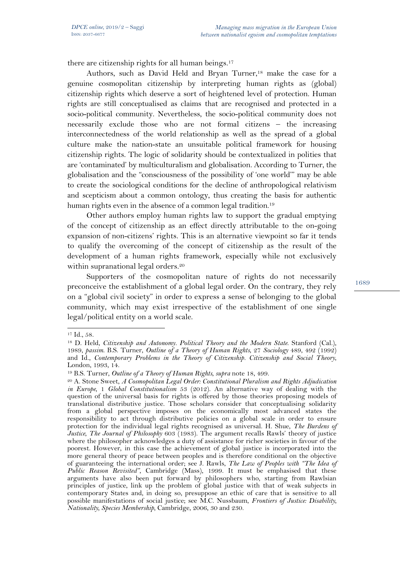there are citizenship rights for all human beings.<sup>17</sup>

Authors, such as David Held and Bryan Turner,<sup>18</sup> make the case for a genuine cosmopolitan citizenship by interpreting human rights as (global) citizenship rights which deserve a sort of heightened level of protection. Human rights are still conceptualised as claims that are recognised and protected in a socio-political community. Nevertheless, the socio-political community does not necessarily exclude those who are not formal citizens – the increasing interconnectedness of the world relationship as well as the spread of a global culture make the nation-state an unsuitable political framework for housing citizenship rights. The logic of solidarity should be contextualized in polities that are 'contaminated' by multiculturalism and globalisation. According to Turner, the globalisation and the "consciousness of the possibility of 'one world'" may be able to create the sociological conditions for the decline of anthropological relativism and scepticism about a common ontology, thus creating the basis for authentic human rights even in the absence of a common legal tradition.<sup>19</sup>

Other authors employ human rights law to support the gradual emptying of the concept of citizenship as an effect directly attributable to the on-going expansion of non-citizens' rights. This is an alternative viewpoint so far it tends to qualify the overcoming of the concept of citizenship as the result of the development of a human rights framework, especially while not exclusively within supranational legal orders.<sup>20</sup>

Supporters of the cosmopolitan nature of rights do not necessarily preconceive the establishment of a global legal order. On the contrary, they rely on a "global civil society" in order to express a sense of belonging to the global community, which may exist irrespective of the establishment of one single legal/political entity on a world scale.

 $\overline{a}$ 

<sup>17</sup> Id., 58.

<sup>18</sup> D. Held, *Citizenship and Autonomy. Political Theory and the Modern State*. Stanford (Cal.), 1989, *passim*. B.S. Turner, *Outline of a Theory of Human Rights*, 27 *Sociology* 489, 492 (1992) and Id., *Contemporary Problems in the Theory of Citizenship. Citizenship and Social Theory*, London, 1993, 14.

<sup>&</sup>lt;sup>19</sup> B.S. Turner, *Outline of a Theory of Human Rights*, *supra* note 18, 499.<br><sup>20</sup> A. Stone Sweet, *A Cosmopolitan Legal Order: Constitutional Pluralism and Rights Adjudication in Europe*, 1 *Global Constitutionalism* 53 (2012). An alternative way of dealing with the question of the universal basis for rights is offered by those theories proposing models of translational distributive justice. Those scholars consider that conceptualising solidarity from a global perspective imposes on the economically most advanced states the responsibility to act through distributive policies on a global scale in order to ensure protection for the individual legal rights recognised as universal. H. Shue, *The Burdens of Justice*, *The Journal of Philosophy* 603 (1983). The argument recalls Rawls' theory of justice where the philosopher acknowledges a duty of assistance for richer societies in favour of the poorest. However, in this case the achievement of global justice is incorporated into the more general theory of peace between peoples and is therefore conditional on the objective of guaranteeing the international order; see J. Rawls, *The Law of Peoples with "The Idea of Public Reason Revisited"*, Cambridge (Mass), 1999. It must be emphasised that these arguments have also been put forward by philosophers who, starting from Rawlsian principles of justice, link up the problem of global justice with that of weak subjects in contemporary States and, in doing so, presuppose an ethic of care that is sensitive to all possible manifestations of social justice; see M.C. Nussbaum, *Frontiers of Justice: Disability, Nationality, Species Membership*, Cambridge, 2006, 30 and 230.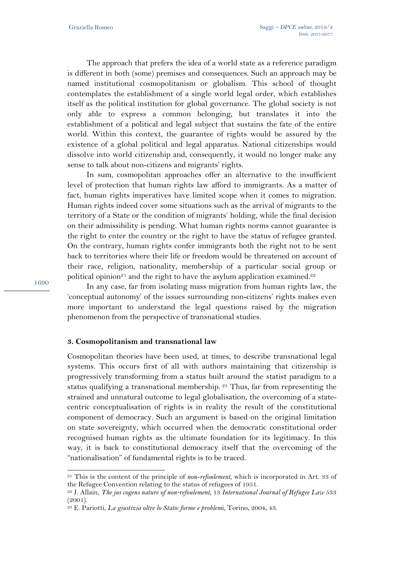The approach that prefers the idea of a world state as a reference paradigm is different in both (some) premises and consequences. Such an approach may be named institutional cosmopolitanism or globalism. This school of thought contemplates the establishment of a single world legal order, which establishes itself as the political institution for global governance. The global society is not only able to express a common belonging, but translates it into the establishment of a political and legal subject that sustains the fate of the entire world. Within this context, the guarantee of rights would be assured by the existence of a global political and legal apparatus. National citizenships would dissolve into world citizenship and, consequently, it would no longer make any sense to talk about non-citizens and migrants' rights.

In sum, cosmopolitan approaches offer an alternative to the insufficient level of protection that human rights law afford to immigrants. As a matter of fact, human rights imperatives have limited scope when it comes to migration. Human rights indeed cover some situations such as the arrival of migrants to the territory of a State or the condition of migrants' holding, while the final decision on their admissibility is pending. What human rights norms cannot guarantee is the right to enter the country or the right to have the status of refugee granted. On the contrary, human rights confer immigrants both the right not to be sent back to territories where their life or freedom would be threatened on account of their race, religion, nationality, membership of a particular social group or political opinion<sup>21</sup> and the right to have the asylum application examined.<sup>22</sup>

In any case, far from isolating mass migration from human rights law, the 'conceptual autonomy' of the issues surrounding non-citizens' rights makes even more important to understand the legal questions raised by the migration phenomenon from the perspective of transnational studies.

## **3. Cosmopolitanism and transnational law**

Cosmopolitan theories have been used, at times, to describe transnational legal systems. This occurs first of all with authors maintaining that citizenship is progressively transforming from a status built around the statist paradigm to a status qualifying a transnational membership. 23 Thus, far from representing the strained and unnatural outcome to legal globalisation, the overcoming of a statecentric conceptualisation of rights is in reality the result of the constitutional component of democracy. Such an argument is based on the original limitation on state sovereignty, which occurred when the democratic constitutional order recognised human rights as the ultimate foundation for its legitimacy. In this way, it is back to constitutional democracy itself that the overcoming of the "nationalisation" of fundamental rights is to be traced.

1690

l

<sup>21</sup> This is the content of the principle of *non-refoulement*, which is incorporated in Art. 33 of the Refugee Convention relating to the status of refugees of 1951.

<sup>&</sup>lt;sup>22</sup> J. Allain, *The jus cogens nature of non-refoulement*, 13 *International Journal of Refugee Law* 533 (2001).

<sup>23</sup> E. Pariotti, *La giustizia oltre lo Stato: forme e problem*i, Torino, 2004, 43.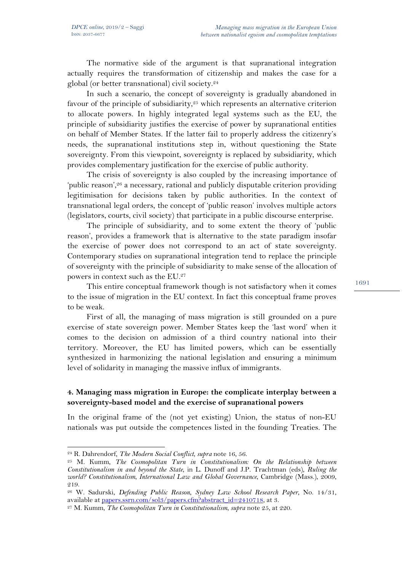The normative side of the argument is that supranational integration actually requires the transformation of citizenship and makes the case for a global (or better transnational) civil society.24

In such a scenario, the concept of sovereignty is gradually abandoned in favour of the principle of subsidiarity, $25$  which represents an alternative criterion to allocate powers. In highly integrated legal systems such as the EU, the principle of subsidiarity justifies the exercise of power by supranational entities on behalf of Member States. If the latter fail to properly address the citizenry's needs, the supranational institutions step in, without questioning the State sovereignty. From this viewpoint, sovereignty is replaced by subsidiarity, which provides complementary justification for the exercise of public authority.

The crisis of sovereignty is also coupled by the increasing importance of 'public reason',26 a necessary, rational and publicly disputable criterion providing legitimisation for decisions taken by public authorities. In the context of transnational legal orders, the concept of 'public reason' involves multiple actors (legislators, courts, civil society) that participate in a public discourse enterprise.

The principle of subsidiarity, and to some extent the theory of 'public reason', provides a framework that is alternative to the state paradigm insofar the exercise of power does not correspond to an act of state sovereignty. Contemporary studies on supranational integration tend to replace the principle of sovereignty with the principle of subsidiarity to make sense of the allocation of powers in context such as the EU.27

This entire conceptual framework though is not satisfactory when it comes to the issue of migration in the EU context. In fact this conceptual frame proves to be weak.

First of all, the managing of mass migration is still grounded on a pure exercise of state sovereign power. Member States keep the 'last word' when it comes to the decision on admission of a third country national into their territory. Moreover, the EU has limited powers, which can be essentially synthesized in harmonizing the national legislation and ensuring a minimum level of solidarity in managing the massive influx of immigrants.

# **4. Managing mass migration in Europe: the complicate interplay between a sovereignty-based model and the exercise of supranational powers**

In the original frame of the (not yet existing) Union, the status of non-EU nationals was put outside the competences listed in the founding Treaties. The

<sup>&</sup>lt;sup>24</sup> R. Dahrendorf, *The Modern Social Conflict*, *supra* note 16, 56.<br><sup>25</sup> M. Kumm, *The Cosmopolitan Turn in Constitutionalism: On the Relationship between Constitutionalism in and beyond the State*, in L. Dunoff and J.P. Trachtman (eds), *Ruling the world? Constitutionalism, International Law and Global Governance*, Cambridge (Mass.), 2009, 219.

<sup>26</sup> W. Sadurski, *Defending Public Reason*, *Sydney Law School Research Paper*, No. 14/31, available at papers.ssrn.com/sol3/papers.cfm?abstract\_id=2410718, at 3. 27 M. Kumm, *The Cosmopolitan Turn in Constitutionalism*, *supra* note 25, at 220.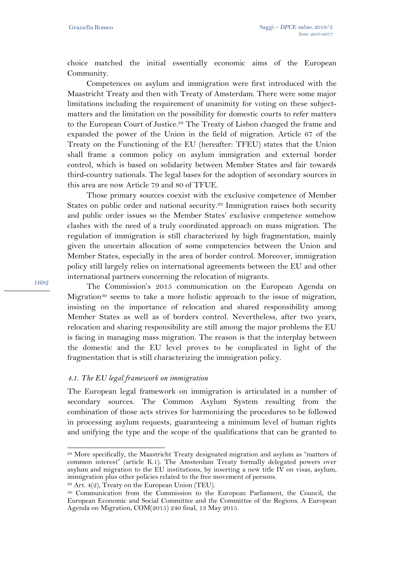choice matched the initial essentially economic aims of the European Community.

Competences on asylum and immigration were first introduced with the Maastricht Treaty and then with Treaty of Amsterdam. There were some major limitations including the requirement of unanimity for voting on these subjectmatters and the limitation on the possibility for domestic courts to refer matters to the European Court of Justice.28 The Treaty of Lisbon changed the frame and expanded the power of the Union in the field of migration. Article 67 of the Treaty on the Functioning of the EU (hereafter: TFEU) states that the Union shall frame a common policy on asylum immigration and external border control, which is based on solidarity between Member States and fair towards third-country nationals. The legal bases for the adoption of secondary sources in this area are now Article 79 and 80 of TFUE.

Those primary sources coexist with the exclusive competence of Member States on public order and national security.<sup>29</sup> Immigration raises both security and public order issues so the Member States' exclusive competence somehow clashes with the need of a truly coordinated approach on mass migration. The regulation of immigration is still characterized by high fragmentation, mainly given the uncertain allocation of some competencies between the Union and Member States, especially in the area of border control. Moreover, immigration policy still largely relies on international agreements between the EU and other international partners concerning the relocation of migrants.

The Commission's 2015 communication on the European Agenda on Migration30 seems to take a more holistic approach to the issue of migration, insisting on the importance of relocation and shared responsibility among Member States as well as of borders control. Nevertheless, after two years, relocation and sharing responsibility are still among the major problems the EU is facing in managing mass migration. The reason is that the interplay between the domestic and the EU level proves to be complicated in light of the fragmentation that is still characterizing the immigration policy.

## *4.1. The EU legal framework on immigration*

The European legal framework on immigration is articulated in a number of secondary sources. The Common Asylum System resulting from the combination of those acts strives for harmonizing the procedures to be followed in processing asylum requests, guaranteeing a minimum level of human rights and unifying the type and the scope of the qualifications that can be granted to

1692

l

<sup>28</sup> More specifically, the Maastricht Treaty designated migration and asylum as "matters of common interest" (article K.1). The Amsterdam Treaty formally delegated powers over asylum and migration to the EU institutions, by inserting a new title IV on visas, asylum, immigration plus other policies related to the free movement of persons. 29 Art. 4(2), Treaty on the European Union (TEU).

<sup>30</sup> Communication from the Commission to the European Parliament, the Council, the European Economic and Social Committee and the Committee of the Regions. A European Agenda on Migration, COM(2015) 240 final, 13 May 2015.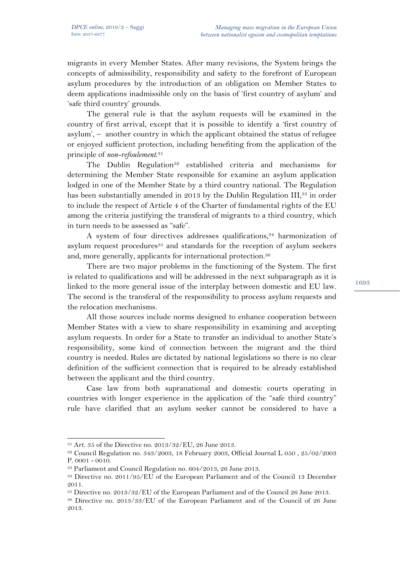migrants in every Member States. After many revisions, the System brings the concepts of admissibility, responsibility and safety to the forefront of European asylum procedures by the introduction of an obligation on Member States to deem applications inadmissible only on the basis of 'first country of asylum' and 'safe third country' grounds.

The general rule is that the asylum requests will be examined in the country of first arrival, except that it is possible to identify a 'first country of asylum', – another country in which the applicant obtained the status of refugee or enjoyed sufficient protection, including benefiting from the application of the principle of *non-refoulement*. 31

The Dublin Regulation<sup>32</sup> established criteria and mechanisms for determining the Member State responsible for examine an asylum application lodged in one of the Member State by a third country national. The Regulation has been substantially amended in 2013 by the Dublin Regulation III,<sup>33</sup> in order to include the respect of Article 4 of the Charter of fundamental rights of the EU among the criteria justifying the transferal of migrants to a third country, which in turn needs to be assessed as "safe".

A system of four directives addresses qualifications,<sup>34</sup> harmonization of asylum request procedures<sup>35</sup> and standards for the reception of asylum seekers and, more generally, applicants for international protection.<sup>36</sup>

There are two major problems in the functioning of the System. The first is related to qualifications and will be addressed in the next subparagraph as it is linked to the more general issue of the interplay between domestic and EU law. The second is the transferal of the responsibility to process asylum requests and the relocation mechanisms.

All those sources include norms designed to enhance cooperation between Member States with a view to share responsibility in examining and accepting asylum requests. In order for a State to transfer an individual to another State's responsibility, some kind of connection between the migrant and the third country is needed. Rules are dictated by national legislations so there is no clear definition of the sufficient connection that is required to be already established between the applicant and the third country.

Case law from both supranational and domestic courts operating in countries with longer experience in the application of the "safe third country" rule have clarified that an asylum seeker cannot be considered to have a

 $\overline{a}$ 

<sup>31</sup> Art. 35 of the Directive no. 2013/32/EU, 26 June 2013.

<sup>32</sup> Council Regulation no. 343/2003, 18 February 2003, Official Journal L 050 , 25/02/2003 P. 0001 - 0010.

<sup>33</sup> Parliament and Council Regulation no. 604/2013, 26 June 2013.

<sup>34</sup> Directive no. 2011/95/EU of the European Parliament and of the Council 13 December 2011.

<sup>35</sup> Directive no. 2013/32/EU of the European Parliament and of the Council 26 June 2013.

<sup>36</sup> Directive no. 2013/33/EU of the European Parliament and of the Council of 26 June 2013.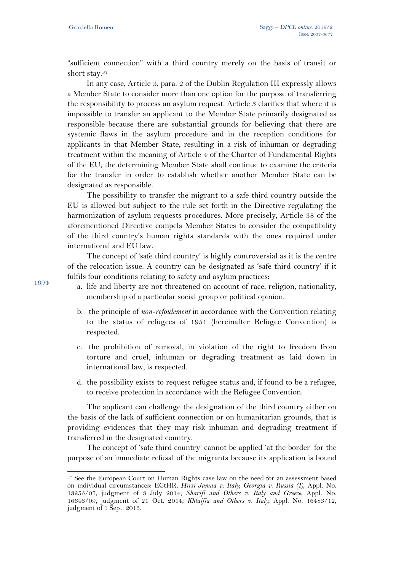"sufficient connection" with a third country merely on the basis of transit or short stay.37

In any case, Article 3, para. 2 of the Dublin Regulation III expressly allows a Member State to consider more than one option for the purpose of transferring the responsibility to process an asylum request. Article 3 clarifies that where it is impossible to transfer an applicant to the Member State primarily designated as responsible because there are substantial grounds for believing that there are systemic flaws in the asylum procedure and in the reception conditions for applicants in that Member State, resulting in a risk of inhuman or degrading treatment within the meaning of Article 4 of the Charter of Fundamental Rights of the EU, the determining Member State shall continue to examine the criteria for the transfer in order to establish whether another Member State can be designated as responsible.

The possibility to transfer the migrant to a safe third country outside the EU is allowed but subject to the rule set forth in the Directive regulating the harmonization of asylum requests procedures. More precisely, Article 38 of the aforementioned Directive compels Member States to consider the compatibility of the third country's human rights standards with the ones required under international and EU law.

The concept of 'safe third country' is highly controversial as it is the centre of the relocation issue. A country can be designated as 'safe third country' if it fulfils four conditions relating to safety and asylum practices:

- a. life and liberty are not threatened on account of race, religion, nationality, membership of a particular social group or political opinion.
- b. the principle of *non-refoulement* in accordance with the Convention relating to the status of refugees of 1951 (hereinafter Refugee Convention) is respected.
- c. the prohibition of removal, in violation of the right to freedom from torture and cruel, inhuman or degrading treatment as laid down in international law, is respected.
- d. the possibility exists to request refugee status and, if found to be a refugee, to receive protection in accordance with the Refugee Convention.

The applicant can challenge the designation of the third country either on the basis of the lack of sufficient connection or on humanitarian grounds, that is providing evidences that they may risk inhuman and degrading treatment if transferred in the designated country.

The concept of 'safe third country' cannot be applied 'at the border' for the purpose of an immediate refusal of the migrants because its application is bound

1694

<sup>37</sup> See the European Court on Human Rights case law on the need for an assessment based on individual circumstances: ECtHR, *Hirsi Jamaa v. Italy*; *Georgia v. Russia (I)*, Appl. No. 13255/07, judgment of 3 July 2014; *Sharifi and Others v. Italy and Greece*, Appl. No. 16643/09, judgment of 21 Oct. 2014; *Khlaifia and Others v. Italy*, Appl. No. 16483/12, judgment of 1 Sept. 2015.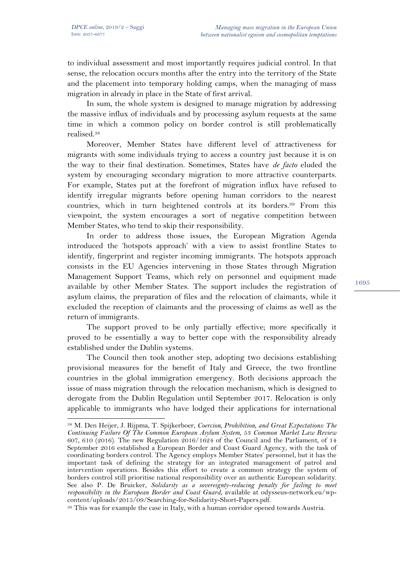$\overline{a}$ 

to individual assessment and most importantly requires judicial control. In that sense, the relocation occurs months after the entry into the territory of the State and the placement into temporary holding camps, when the managing of mass migration in already in place in the State of first arrival.

In sum, the whole system is designed to manage migration by addressing the massive influx of individuals and by processing asylum requests at the same time in which a common policy on border control is still problematically realised.38

Moreover, Member States have different level of attractiveness for migrants with some individuals trying to access a country just because it is on the way to their final destination. Sometimes, States have *de facto* eluded the system by encouraging secondary migration to more attractive counterparts. For example, States put at the forefront of migration influx have refused to identify irregular migrants before opening human corridors to the nearest countries, which in turn heightened controls at its borders.39 From this viewpoint, the system encourages a sort of negative competition between Member States, who tend to skip their responsibility.

In order to address those issues, the European Migration Agenda introduced the 'hotspots approach' with a view to assist frontline States to identify, fingerprint and register incoming immigrants. The hotspots approach consists in the EU Agencies intervening in those States through Migration Management Support Teams, which rely on personnel and equipment made available by other Member States. The support includes the registration of asylum claims, the preparation of files and the relocation of claimants, while it excluded the reception of claimants and the processing of claims as well as the return of immigrants.

The support proved to be only partially effective; more specifically it proved to be essentially a way to better cope with the responsibility already established under the Dublin systems.

The Council then took another step, adopting two decisions establishing provisional measures for the benefit of Italy and Greece, the two frontline countries in the global immigration emergency. Both decisions approach the issue of mass migration through the relocation mechanism, which is designed to derogate from the Dublin Regulation until September 2017. Relocation is only applicable to immigrants who have lodged their applications for international

<sup>38</sup> M. Den Heijer, J. Rijpma, T. Spijkerboer, *Coercion, Prohibition, and Great Expectations: The Continuing Failure Of The Common European Asylum System*, 53 *Common Market Law Review*  607, 610 (2016). The new Regulation 2016/1624 of the Council and the Parliament, of 14 September 2016 established a European Border and Coast Guard Agency, with the task of coordinating borders control. The Agency employs Member States' personnel, but it has the important task of defining the strategy for an integrated management of patrol and intervention operations. Besides this effort to create a common strategy the system of borders control still prioritise national responsibility over an authentic European solidarity. See also P. De Bruicker, *Solidarity as a sovereignty-reducing penalty for failing to meet responsibility in the European Border and Coast Guard*, available at odysseus-network.eu/wp-

<sup>&</sup>lt;sup>39</sup> This was for example the case in Italy, with a human corridor opened towards Austria.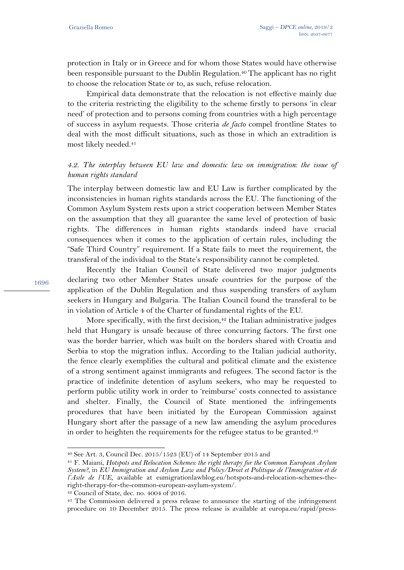protection in Italy or in Greece and for whom those States would have otherwise been responsible pursuant to the Dublin Regulation.<sup>40</sup> The applicant has no right to choose the relocation State or to, as such, refuse relocation.

Empirical data demonstrate that the relocation is not effective mainly due to the criteria restricting the eligibility to the scheme firstly to persons 'in clear need' of protection and to persons coming from countries with a high percentage of success in asylum requests. Those criteria *de facto* compel frontline States to deal with the most difficult situations, such as those in which an extradition is most likely needed.41

# *4.2. The interplay between EU law and domestic law on immigration: the issue of human rights standard*

The interplay between domestic law and EU Law is further complicated by the inconsistencies in human rights standards across the EU. The functioning of the Common Asylum System rests upon a strict cooperation between Member States on the assumption that they all guarantee the same level of protection of basic rights. The differences in human rights standards indeed have crucial consequences when it comes to the application of certain rules, including the "Safe Third Country" requirement. If a State fails to meet the requirement, the transferal of the individual to the State's responsibility cannot be completed.

Recently the Italian Council of State delivered two major judgments declaring two other Member States unsafe countries for the purpose of the application of the Dublin Regulation and thus suspending transfers of asylum seekers in Hungary and Bulgaria. The Italian Council found the transferal to be in violation of Article 4 of the Charter of fundamental rights of the EU.

More specifically, with the first decision, $42$  the Italian administrative judges held that Hungary is unsafe because of three concurring factors. The first one was the border barrier, which was built on the borders shared with Croatia and Serbia to stop the migration influx. According to the Italian judicial authority, the fence clearly exemplifies the cultural and political climate and the existence of a strong sentiment against immigrants and refugees. The second factor is the practice of indefinite detention of asylum seekers, who may be requested to perform public utility work in order to 'reimburse' costs connected to assistance and shelter. Finally, the Council of State mentioned the infringements procedures that have been initiated by the European Commission against Hungary short after the passage of a new law amending the asylum procedures in order to heighten the requirements for the refugee status to be granted.<sup>43</sup>

1696

l

<sup>40</sup> See Art. 3, Council Dec. 2015/1523 (EU) of 14 September 2015 and

<sup>41</sup> F. Maiani, *Hotspots and Relocation Schemes: the right therapy for the Common European Asylum System?*, in *EU Immigration and Asylum Law and Policy/Droit et Politique de l'Immigration et de l'Asile de l'UE*, available at eumigrationlawblog.eu/hotspots-and-relocation-schemes-theright-therapy-for-the-common-european-asylum-system/. 42 Council of State, dec. no. 4004 of 2016.

<sup>&</sup>lt;sup>43</sup> The Commission delivered a press release to announce the starting of the infringement procedure on 10 December 2015. The press release is available at europa.eu/rapid/press-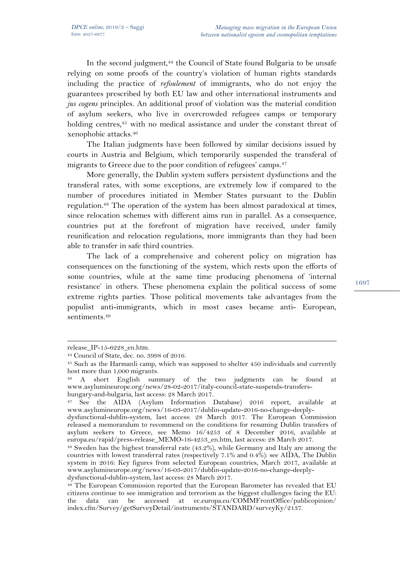In the second judgment,<sup>44</sup> the Council of State found Bulgaria to be unsafe relying on some proofs of the country's violation of human rights standards including the practice of *refoulement* of immigrants, who do not enjoy the guarantees prescribed by both EU law and other international instruments and *jus cogens* principles. An additional proof of violation was the material condition of asylum seekers, who live in overcrowded refugees camps or temporary holding centres,<sup>45</sup> with no medical assistance and under the constant threat of xenophobic attacks.46

The Italian judgments have been followed by similar decisions issued by courts in Austria and Belgium, which temporarily suspended the transferal of migrants to Greece due to the poor condition of refugees' camps.<sup>47</sup>

More generally, the Dublin system suffers persistent dysfunctions and the transferal rates, with some exceptions, are extremely low if compared to the number of procedures initiated in Member States pursuant to the Dublin regulation.48 The operation of the system has been almost paradoxical at times, since relocation schemes with different aims run in parallel. As a consequence, countries put at the forefront of migration have received, under family reunification and relocation regulations, more immigrants than they had been able to transfer in safe third countries.

The lack of a comprehensive and coherent policy on migration has consequences on the functioning of the system, which rests upon the efforts of some countries, while at the same time producing phenomena of 'internal resistance' in others. These phenomena explain the political success of some extreme rights parties. Those political movements take advantages from the populist anti-immigrants, which in most cases became anti- European, sentiments.<sup>49</sup>

1

release IP-15-6228 en.htm.

<sup>44</sup> Council of State, dec. no. 3998 of 2016.

<sup>45</sup> Such as the Harmanli camp, which was supposed to shelter 450 individuals and currently host more than 1,000 migrants.

<sup>46</sup> A short English summary of the two judgments can be found at www.asylumineurope.org/news/28-02-2017/italy-council-state-suspends-transfershungary-and-bulgaria, last access: 28 March 2017.

<sup>47</sup> See the AIDA (Asylum Information Database) 2016 report, available at www.asylumineurope.org/news/16-03-2017/dublin-update-2016-no-change-deeply-

dysfunctional-dublin-system, last access: 28 March 2017. The European Commission released a memorandum to recommend on the conditions for resuming Dublin transfers of asylum seekers to Greece, see Memo  $16/4253$  of 8 December 2016, available at europa.eu/rapid/press-release\_MEMO-16-4253\_en.htm, last access: 28 March 2017.

<sup>&</sup>lt;sup>48</sup> Sweden has the highest transferral rate (43.2%), while Germany and Italy are among the countries with lowest transferral rates (respectively 7.1% and 0.4%): see AIDA, The Dublin system in 2016: Key figures from selected European countries, March 2017, available at www.asylumineurope.org/news/16-03-2017/dublin-update-2016-no-change-deeply-

<sup>&</sup>lt;sup>49</sup> The European Commission reported that the European Barometer has revealed that EU citizens continue to see immigration and terrorism as the biggest challenges facing the EU: the data can be accessed at ec.europa.eu/COMMFrontOffice/publicopinion/ index.cfm/Survey/getSurveyDetail/instruments/STANDARD/surveyKy/2137.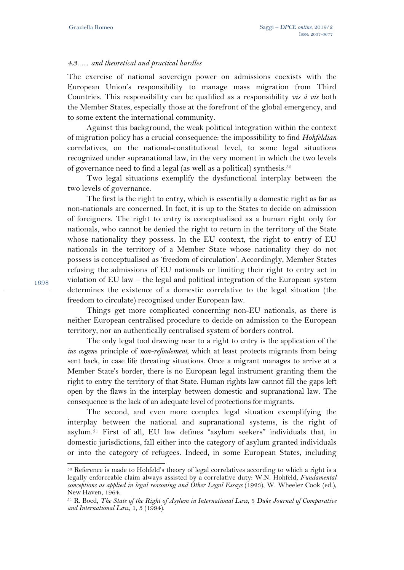#### *4.3. … and theoretical and practical hurdles*

The exercise of national sovereign power on admissions coexists with the European Union's responsibility to manage mass migration from Third Countries. This responsibility can be qualified as a responsibility *vis à vis* both the Member States, especially those at the forefront of the global emergency, and to some extent the international community.

Against this background, the weak political integration within the context of migration policy has a crucial consequence: the impossibility to find *Hohfeldian* correlatives, on the national-constitutional level, to some legal situations recognized under supranational law, in the very moment in which the two levels of governance need to find a legal (as well as a political) synthesis.50

Two legal situations exemplify the dysfunctional interplay between the two levels of governance.

The first is the right to entry, which is essentially a domestic right as far as non-nationals are concerned. In fact, it is up to the States to decide on admission of foreigners. The right to entry is conceptualised as a human right only for nationals, who cannot be denied the right to return in the territory of the State whose nationality they possess. In the EU context, the right to entry of EU nationals in the territory of a Member State whose nationality they do not possess is conceptualised as 'freedom of circulation'. Accordingly, Member States refusing the admissions of EU nationals or limiting their right to entry act in violation of EU law – the legal and political integration of the European system determines the existence of a domestic correlative to the legal situation (the freedom to circulate) recognised under European law.

Things get more complicated concerning non-EU nationals, as there is neither European centralised procedure to decide on admission to the European territory, nor an authentically centralised system of borders control.

The only legal tool drawing near to a right to entry is the application of the *ius cogen*s principle of *non-refoulement*, which at least protects migrants from being sent back, in case life threating situations. Once a migrant manages to arrive at a Member State's border, there is no European legal instrument granting them the right to entry the territory of that State. Human rights law cannot fill the gaps left open by the flaws in the interplay between domestic and supranational law. The consequence is the lack of an adequate level of protections for migrants.

The second, and even more complex legal situation exemplifying the interplay between the national and supranational systems, is the right of asylum.51 First of all, EU law defines "asylum seekers" individuals that, in domestic jurisdictions, fall either into the category of asylum granted individuals or into the category of refugees. Indeed, in some European States, including

1698

<sup>&</sup>lt;sup>50</sup> Reference is made to Hohfeld's theory of legal correlatives according to which a right is a legally enforceable claim always assisted by a correlative duty: W.N. Hohfeld, *Fundamental conceptions as applied in legal reasoning and Other Legal Essays* (1923), W. Wheeler Cook (ed.), New Haven, 1964.

<sup>51</sup> R. Boed, *The State of the Right of Asylum in International Law*, 5 *Duke Journal of Comparative and International Law*, 1, 3 (1994).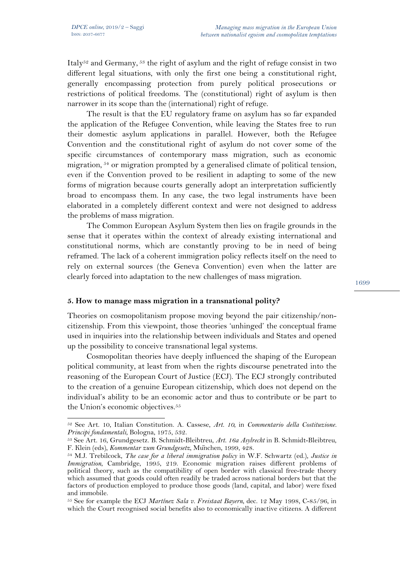$\overline{a}$ 

Italy<sup>52</sup> and Germany,  $53$  the right of asylum and the right of refuge consist in two different legal situations, with only the first one being a constitutional right, generally encompassing protection from purely political prosecutions or restrictions of political freedoms. The (constitutional) right of asylum is then narrower in its scope than the (international) right of refuge.

The result is that the EU regulatory frame on asylum has so far expanded the application of the Refugee Convention, while leaving the States free to run their domestic asylum applications in parallel. However, both the Refugee Convention and the constitutional right of asylum do not cover some of the specific circumstances of contemporary mass migration, such as economic migration, 54 or migration prompted by a generalised climate of political tension, even if the Convention proved to be resilient in adapting to some of the new forms of migration because courts generally adopt an interpretation sufficiently broad to encompass them. In any case, the two legal instruments have been elaborated in a completely different context and were not designed to address the problems of mass migration.

The Common European Asylum System then lies on fragile grounds in the sense that it operates within the context of already existing international and constitutional norms, which are constantly proving to be in need of being reframed. The lack of a coherent immigration policy reflects itself on the need to rely on external sources (the Geneva Convention) even when the latter are clearly forced into adaptation to the new challenges of mass migration.

## **5. How to manage mass migration in a transnational polity?**

Theories on cosmopolitanism propose moving beyond the pair citizenship/noncitizenship. From this viewpoint, those theories 'unhinged' the conceptual frame used in inquiries into the relationship between individuals and States and opened up the possibility to conceive transnational legal systems.

Cosmopolitan theories have deeply influenced the shaping of the European political community, at least from when the rights discourse penetrated into the reasoning of the European Court of Justice (ECJ). The ECJ strongly contributed to the creation of a genuine European citizenship, which does not depend on the individual's ability to be an economic actor and thus to contribute or be part to the Union's economic objectives.<sup>55</sup>

<sup>52</sup> See Art. 10, Italian Constitution. A. Cassese, *Art. 10*, in *Commentario della Costituzione. Principi fondamentali*, Bologna, 1975, 532.<br><sup>53</sup> See Art. 16, Grundgesetz. B. Schmidt-Bleibtreu, *Art. 16a Asylrecht* in B. Schmidt-Bleibtreu,

F. Klein (eds), *Kommentar zum Grundgesetz*, München, 1999, 428. 54 M.J. Trebilcock, *The case for a liberal immigration policy* in W.F. Schwartz (ed.), *Justice in* 

*Immigration*, Cambridge, 1995, 219. Economic migration raises different problems of political theory, such as the compatibility of open border with classical free-trade theory which assumed that goods could often readily be traded across national borders but that the factors of production employed to produce those goods (land, capital, and labor) were fixed and immobile.

<sup>55</sup> See for example the ECJ *Martínez Sala v. Freistaat Bayern*, dec. 12 May 1998, C-85/96, in which the Court recognised social benefits also to economically inactive citizens. A different